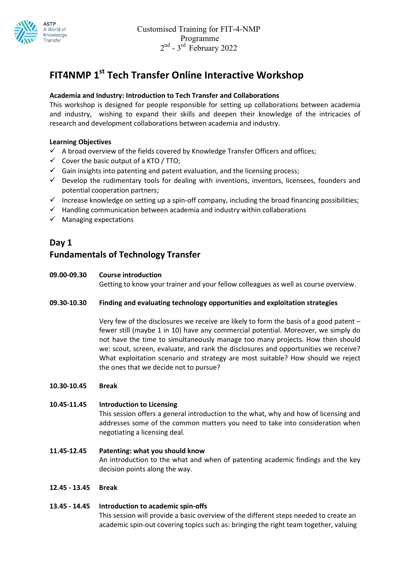

# FIT4NMP 1<sup>st</sup> Tech Transfer Online Interactive Workshop

## Academia and Industry: Introduction to Tech Transfer and Collaborations

This workshop is designed for people responsible for setting up collaborations between academia and industry, wishing to expand their skills and deepen their knowledge of the intricacies of research and development collaborations between academia and industry.

#### Learning Objectives

- $\checkmark$  A broad overview of the fields covered by Knowledge Transfer Officers and offices;
- $\checkmark$  Cover the basic output of a KTO / TTO;
- $\checkmark$  Gain insights into patenting and patent evaluation, and the licensing process;
- $\checkmark$  Develop the rudimentary tools for dealing with inventions, inventors, licensees, founders and potential cooperation partners;
- $\checkmark$  Increase knowledge on setting up a spin-off company, including the broad financing possibilities;
- $\checkmark$  Handling communication between academia and industry within collaborations
- $\checkmark$  Managing expectations

# Day 1

# Fundamentals of Technology Transfer

#### 09.00-09.30 Course introduction

Getting to know your trainer and your fellow colleagues as well as course overview.

#### 09.30-10.30 Finding and evaluating technology opportunities and exploitation strategies

Very few of the disclosures we receive are likely to form the basis of a good patent – fewer still (maybe 1 in 10) have any commercial potential. Moreover, we simply do not have the time to simultaneously manage too many projects. How then should we: scout, screen, evaluate, and rank the disclosures and opportunities we receive? What exploitation scenario and strategy are most suitable? How should we reject the ones that we decide not to pursue?

#### 10.30-10.45 Break

#### 10.45-11.45 Introduction to Licensing

This session offers a general introduction to the what, why and how of licensing and addresses some of the common matters you need to take into consideration when negotiating a licensing deal.

11.45-12.45 Patenting: what you should know An introduction to the what and when of patenting academic findings and the key decision points along the way.

#### 12.45 - 13.45 Break

#### 13.45 - 14.45 Introduction to academic spin-offs

This session will provide a basic overview of the different steps needed to create an academic spin-out covering topics such as: bringing the right team together, valuing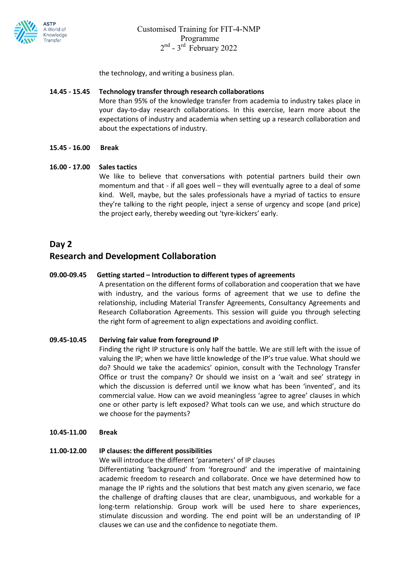

the technology, and writing a business plan.

#### 14.45 - 15.45 Technology transfer through research collaborations

More than 95% of the knowledge transfer from academia to industry takes place in your day-to-day research collaborations. In this exercise, learn more about the expectations of industry and academia when setting up a research collaboration and about the expectations of industry.

#### 15.45 - 16.00 Break

#### 16.00 - 17.00 Sales tactics

 We like to believe that conversations with potential partners build their own momentum and that - if all goes well – they will eventually agree to a deal of some kind. Well, maybe, but the sales professionals have a myriad of tactics to ensure they're talking to the right people, inject a sense of urgency and scope (and price) the project early, thereby weeding out 'tyre-kickers' early.

## Day 2

## Research and Development Collaboration

#### 09.00-09.45 Getting started – Introduction to different types of agreements

A presentation on the different forms of collaboration and cooperation that we have with industry, and the various forms of agreement that we use to define the relationship, including Material Transfer Agreements, Consultancy Agreements and Research Collaboration Agreements. This session will guide you through selecting the right form of agreement to align expectations and avoiding conflict.

#### 09.45-10.45 Deriving fair value from foreground IP

Finding the right IP structure is only half the battle. We are still left with the issue of valuing the IP; when we have little knowledge of the IP's true value. What should we do? Should we take the academics' opinion, consult with the Technology Transfer Office or trust the company? Or should we insist on a 'wait and see' strategy in which the discussion is deferred until we know what has been 'invented', and its commercial value. How can we avoid meaningless 'agree to agree' clauses in which one or other party is left exposed? What tools can we use, and which structure do we choose for the payments?

#### 10.45-11.00 Break

#### 11.00-12.00 IP clauses: the different possibilities

We will introduce the different 'parameters' of IP clauses

Differentiating 'background' from 'foreground' and the imperative of maintaining academic freedom to research and collaborate. Once we have determined how to manage the IP rights and the solutions that best match any given scenario, we face the challenge of drafting clauses that are clear, unambiguous, and workable for a long-term relationship. Group work will be used here to share experiences, stimulate discussion and wording. The end point will be an understanding of IP clauses we can use and the confidence to negotiate them.